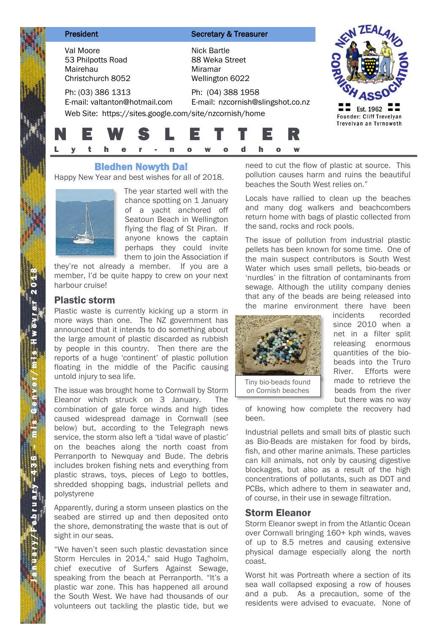| President                                                       |                               | <b>Secretary &amp; Treasurer</b>                                                                                 |                                       |
|-----------------------------------------------------------------|-------------------------------|------------------------------------------------------------------------------------------------------------------|---------------------------------------|
| Val Moore<br>53 Philpotts Road<br>Mairehau<br>Christchurch 8052 |                               | Nick Bartle<br>88 Weka Street<br>Miramar<br>Wellington 6022                                                      |                                       |
| Ph: (03) 386 1313                                               | E-mail: valtanton@hotmail.com | Ph: (04) 388 1958<br>E-mail: nzcornish@slingshot.co.nz<br>Web Site: https://sites.google.com/site/nzcornish/home | Est. 1962<br>Founder: Cliff Trevelyan |
| E W                                                             |                               | 'S L E T T E<br>a<br>n                                                                                           | Trevelyan an Tyrnoweth                |

# Bledhen Nowyth Da!

Happy New Year and best wishes for all of 2018.



The year started well with the chance spotting on 1 January of a yacht anchored off Seatoun Beach in Wellington flying the flag of St Piran. If anyone knows the captain perhaps they could invite them to join the Association if

they're not already a member. If you are a member, I'd be quite happy to crew on your next harbour cruise!

## Plastic storm

Plastic waste is currently kicking up a storm in more ways than one. The NZ government has announced that it intends to do something about the large amount of plastic discarded as rubbish by people in this country. Then there are the reports of a huge 'continent' of plastic pollution floating in the middle of the Pacific causing untold injury to sea life.

The issue was brought home to Cornwall by Storm Eleanor which struck on 3 January. The combination of gale force winds and high tides caused widespread damage in Cornwall (see below) but, according to the Telegraph news service, the storm also left a 'tidal wave of plastic' on the beaches along the north coast from Perranporth to Newquay and Bude. The debris includes broken fishing nets and everything from plastic straws, toys, pieces of Lego to bottles, shredded shopping bags, industrial pellets and polystyrene

Apparently, during a storm unseen plastics on the seabed are stirred up and then deposited onto the shore, demonstrating the waste that is out of sight in our seas.

"We haven't seen such plastic devastation since Storm Hercules in 2014," said Hugo Tagholm, chief executive of Surfers Against Sewage, speaking from the beach at Perranporth. "It's a plastic war zone. This has happened all around the South West. We have had thousands of our volunteers out tackling the plastic tide, but we

need to cut the flow of plastic at source. This pollution causes harm and ruins the beautiful beaches the South West relies on."

Locals have rallied to clean up the beaches and many dog walkers and beachcombers return home with bags of plastic collected from the sand, rocks and rock pools.

The issue of pollution from industrial plastic pellets has been known for some time. One of the main suspect contributors is South West Water which uses small pellets, bio-beads or 'nurdles' in the filtration of contaminants from sewage. Although the utility company denies that any of the beads are being released into the marine environment there have been



incidents recorded since 2010 when a net in a filter split releasing enormous quantities of the biobeads into the Truro River. Efforts were made to retrieve the beads from the river but there was no way

of knowing how complete the recovery had been.

Industrial pellets and small bits of plastic such as Bio-Beads are mistaken for food by birds, fish, and other marine animals. These particles can kill animals, not only by causing digestive blockages, but also as a result of the high concentrations of pollutants, such as DDT and PCBs, which adhere to them in seawater and, of course, in their use in sewage filtration.

## Storm Eleanor

Storm Eleanor swept in from the Atlantic Ocean over Cornwall bringing 160+ kph winds, waves of up to 8.5 metres and causing extensive physical damage especially along the north coast.

Worst hit was Portreath where a section of its sea wall collapsed exposing a row of houses and a pub. As a precaution, some of the residents were advised to evacuate. None of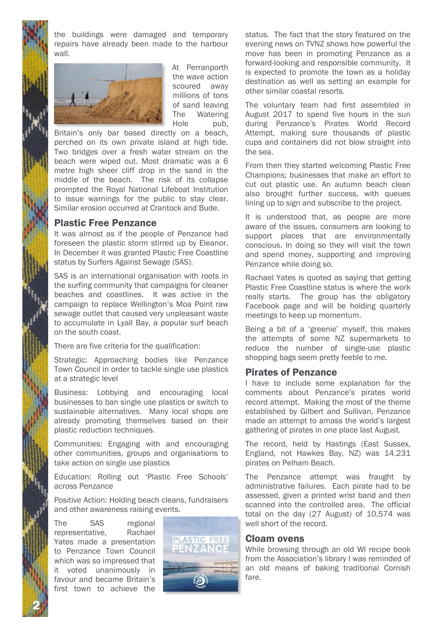2 N

the buildings were damaged and temporary repairs have already been made to the harbour wall.



At Perranporth the wave action scoured away millions of tons of sand leaving The Watering Hole pub.

Britain's only bar based directly on a beach, perched on its own private island at high tide. Two bridges over a fresh water stream on the beach were wiped out. Most dramatic was a 6 metre high sheer cliff drop in the sand in the middle of the beach. The risk of its collapse prompted the Royal National Lifeboat Institution to issue warnings for the public to stay clear. Similar erosion occurred at Crantock and Bude.

## Plastic Free Penzance

It was almost as if the people of Penzance had foreseen the plastic storm stirred up by Eleanor. In December it was granted Plastic Free Coastline status by Surfers Against Sewage (SAS).

SAS is an international organisation with roots in the surfing community that campaigns for cleaner beaches and coastlines. It was active in the campaign to replace Wellington's Moa Point raw sewage outlet that caused very unpleasant waste to accumulate in Lyall Bay, a popular surf beach on the south coast.

There are five criteria for the qualification:

Strategic: Approaching bodies like Penzance Town Council in order to tackle single use plastics at a strategic level

Business: Lobbying and encouraging local businesses to ban single use plastics or switch to sustainable alternatives. Many local shops are already promoting themselves based on their plastic reduction techniques.

Communities: Engaging with and encouraging other communities, groups and organisations to take action on single use plastics

Education: Rolling out 'Plastic Free Schools' across Penzance

Positive Action: Holding beach cleans, fundraisers and other awareness raising events.

The SAS regional representative, Rachael Yates made a presentation to Penzance Town Council which was so impressed that it voted unanimously in favour and became Britain's first town to achieve the



status. The fact that the story featured on the evening news on TVNZ shows how powerful the move has been in promoting Penzance as a forward-looking and responsible community. It is expected to promote the town as a holiday destination as well as setting an example for other similar coastal resorts.

The voluntary team had first assembled in August 2017 to spend five hours in the sun during Penzance's Pirates World Record Attempt, making sure thousands of plastic cups and containers did not blow straight into the sea.

From then they started welcoming Plastic Free Champions; businesses that make an effort to cut out plastic use. An autumn beach clean also brought further success, with queues lining up to sign and subscribe to the project.

It is understood that, as people are more aware of the issues, consumers are looking to support places that are environmentally conscious. In doing so they will visit the town and spend money, supporting and improving Penzance while doing so.

Rachael Yates is quoted as saying that getting Plastic Free Coastline status is where the work really starts. The group has the obligatory Facebook page and will be holding quarterly meetings to keep up momentum.

Being a bit of a 'greenie' myself, this makes the attempts of some NZ supermarkets to reduce the number of single-use plastic shopping bags seem pretty feeble to me.

### Pirates of Penzance

I have to include some explanation for the comments about Penzance's pirates world record attempt. Making the most of the theme established by Gilbert and Sullivan, Penzance made an attempt to amass the world's largest gathering of pirates in one place last August.

The record, held by Hastings (East Sussex, England, not Hawkes Bay, NZ) was 14,231 pirates on Pelham Beach.

The Penzance attempt was fraught by administrative failures. Each pirate had to be assessed, given a printed wrist band and then scanned into the controlled area. The official total on the day (27 August) of 10,574 was well short of the record.

#### Cloam ovens

While browsing through an old WI recipe book from the Association's library I was reminded of an old means of baking traditional Cornish fare.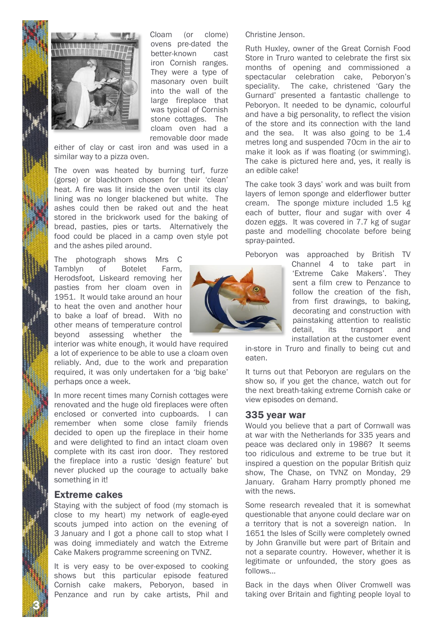



Cloam (or clome) ovens pre-dated the better-known cast iron Cornish ranges. They were a type of masonary oven built into the wall of the large fireplace that was typical of Cornish stone cottages. The cloam oven had a removable door made

either of clay or cast iron and was used in a similar way to a pizza oven.

The oven was heated by burning turf, furze (gorse) or blackthorn chosen for their 'clean' heat. A fire was lit inside the oven until its clay lining was no longer blackened but white. The ashes could then be raked out and the heat stored in the brickwork used for the baking of bread, pasties, pies or tarts. Alternatively the food could be placed in a camp oven style pot and the ashes piled around.

The photograph shows Mrs C Tamblyn of Botelet Farm, Herodsfoot, Liskeard removing her pasties from her cloam oven in 1951. It would take around an hour to heat the oven and another hour to bake a loaf of bread. With no other means of temperature control beyond assessing whether the

interior was white enough, it would have required a lot of experience to be able to use a cloam oven reliably. And, due to the work and preparation required, it was only undertaken for a 'big bake' perhaps once a week.

In more recent times many Cornish cottages were renovated and the huge old fireplaces were often enclosed or converted into cupboards. I can remember when some close family friends decided to open up the fireplace in their home and were delighted to find an intact cloam oven complete with its cast iron door. They restored the fireplace into a rustic 'design feature' but never plucked up the courage to actually bake something in it!

## Extreme cakes

Staying with the subject of food (my stomach is close to my heart) my network of eagle-eyed scouts jumped into action on the evening of 3 January and I got a phone call to stop what I was doing immediately and watch the Extreme Cake Makers programme screening on TVNZ.

It is very easy to be over-exposed to cooking shows but this particular episode featured Cornish cake makers, Peboryon, based in Penzance and run by cake artists, Phil and

Christine Jenson.

Ruth Huxley, owner of the Great Cornish Food Store in Truro wanted to celebrate the first six months of opening and commissioned a spectacular celebration cake, Peboryon's speciality. The cake, christened 'Gary the Gurnard' presented a fantastic challenge to Peboryon. It needed to be dynamic, colourful and have a big personality, to reflect the vision of the store and its connection with the land and the sea. It was also going to be 1.4 metres long and suspended 70cm in the air to make it look as if was floating (or swimming). The cake is pictured here and, yes, it really is an edible cake!

The cake took 3 days' work and was built from layers of lemon sponge and elderflower butter cream. The sponge mixture included 1.5 kg each of butter, flour and sugar with over 4 dozen eggs. It was covered in 7.7 kg of sugar paste and modelling chocolate before being spray-painted.

Peboryon was approached by British TV

Channel 4 to take part in 'Extreme Cake Makers'. They sent a film crew to Penzance to follow the creation of the fish, from first drawings, to baking, decorating and construction with painstaking attention to realistic detail, its transport and installation at the customer event

in-store in Truro and finally to being cut and eaten.

It turns out that Peboryon are regulars on the show so, if you get the chance, watch out for the next breath-taking extreme Cornish cake or view episodes on demand.

#### 335 year war

Would you believe that a part of Cornwall was at war with the Netherlands for 335 years and peace was declared only in 1986? It seems too ridiculous and extreme to be true but it inspired a question on the popular British quiz show, The Chase, on TVNZ on Monday, 29 January. Graham Harry promptly phoned me with the news.

Some research revealed that it is somewhat questionable that anyone could declare war on a territory that is not a sovereign nation. In 1651 the Isles of Scilly were completely owned by John Granville but were part of Britain and not a separate country. However, whether it is legitimate or unfounded, the story goes as follows…

Back in the days when Oliver Cromwell was taking over Britain and fighting people loyal to